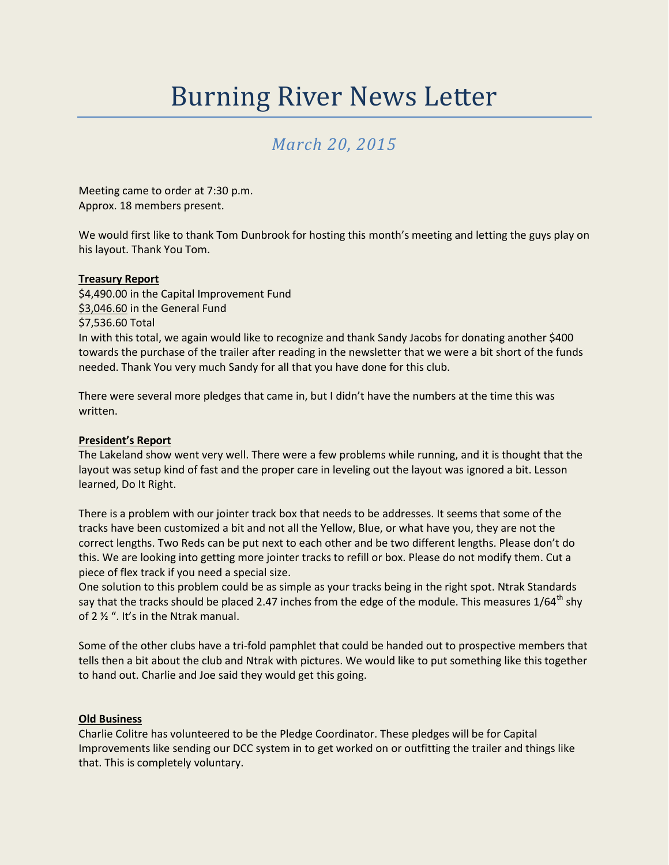# Burning River News Letter

# *March 20, 2015*

Meeting came to order at 7:30 p.m. Approx. 18 members present.

We would first like to thank Tom Dunbrook for hosting this month's meeting and letting the guys play on his layout. Thank You Tom.

# **Treasury Report**

\$4,490.00 in the Capital Improvement Fund \$3,046.60 in the General Fund \$7,536.60 Total In with this total, we again would like to recognize and thank Sandy Jacobs for donating another \$400 towards the purchase of the trailer after reading in the newsletter that we were a bit short of the funds needed. Thank You very much Sandy for all that you have done for this club.

There were several more pledges that came in, but I didn't have the numbers at the time this was written.

#### **President's Report**

The Lakeland show went very well. There were a few problems while running, and it is thought that the layout was setup kind of fast and the proper care in leveling out the layout was ignored a bit. Lesson learned, Do It Right.

There is a problem with our jointer track box that needs to be addresses. It seems that some of the tracks have been customized a bit and not all the Yellow, Blue, or what have you, they are not the correct lengths. Two Reds can be put next to each other and be two different lengths. Please don't do this. We are looking into getting more jointer tracks to refill or box. Please do not modify them. Cut a piece of flex track if you need a special size.

One solution to this problem could be as simple as your tracks being in the right spot. Ntrak Standards say that the tracks should be placed 2.47 inches from the edge of the module. This measures  $1/64^{\text{th}}$  shy of 2 ½ ". It's in the Ntrak manual.

Some of the other clubs have a tri-fold pamphlet that could be handed out to prospective members that tells then a bit about the club and Ntrak with pictures. We would like to put something like this together to hand out. Charlie and Joe said they would get this going.

#### **Old Business**

Charlie Colitre has volunteered to be the Pledge Coordinator. These pledges will be for Capital Improvements like sending our DCC system in to get worked on or outfitting the trailer and things like that. This is completely voluntary.